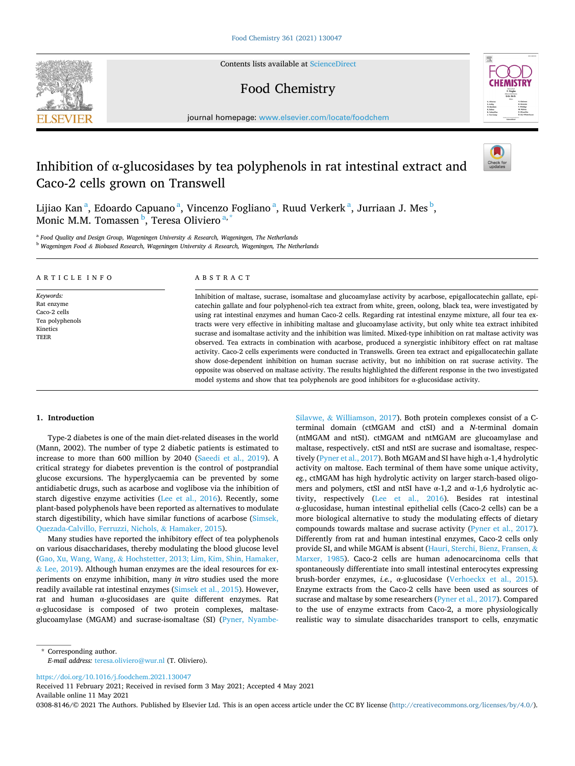Contents lists available at [ScienceDirect](www.sciencedirect.com/science/journal/03088146)

# Food Chemistry



journal homepage: [www.elsevier.com/locate/foodchem](https://www.elsevier.com/locate/foodchem)

# Inhibition of  $\alpha$ -glucosidases by tea polyphenols in rat intestinal extract and Caco-2 cells grown on Transwell



Lijiao Kan<sup>a</sup>, Edoardo Capuano<sup>a</sup>, Vincenzo Fogliano<sup>a</sup>, Ruud Verkerk<sup>a</sup>, Jurriaan J. Mes<sup>b</sup>, Monic M.M. Tomassen <sup>b</sup>, Teresa Oliviero <sup>a, \*</sup>

<sup>a</sup> *Food Quality and Design Group, Wageningen University & Research, Wageningen, The Netherlands* 

<sup>b</sup> *Wageningen Food & Biobased Research, Wageningen University & Research, Wageningen, The Netherlands* 

#### ARTICLE INFO

*Keywords:*  Rat enzyme Caco-2 cells Tea polyphenols Kinetics TEER

## ABSTRACT

Inhibition of maltase, sucrase, isomaltase and glucoamylase activity by acarbose, epigallocatechin gallate, epicatechin gallate and four polyphenol-rich tea extract from white, green, oolong, black tea, were investigated by using rat intestinal enzymes and human Caco-2 cells. Regarding rat intestinal enzyme mixture, all four tea extracts were very effective in inhibiting maltase and glucoamylase activity, but only white tea extract inhibited sucrase and isomaltase activity and the inhibition was limited. Mixed-type inhibition on rat maltase activity was observed. Tea extracts in combination with acarbose, produced a synergistic inhibitory effect on rat maltase activity. Caco-2 cells experiments were conducted in Transwells. Green tea extract and epigallocatechin gallate show dose-dependent inhibition on human sucrase activity, but no inhibition on rat sucrase activity. The opposite was observed on maltase activity. The results highlighted the different response in the two investigated model systems and show that tea polyphenols are good inhibitors for  $\alpha$ -glucosidase activity.

#### **1. Introduction**

Type-2 diabetes is one of the main diet-related diseases in the world (Mann, 2002). The number of type 2 diabetic patients is estimated to increase to more than 600 million by 2040 [\(Saeedi et al., 2019](#page-7-0)). A critical strategy for diabetes prevention is the control of postprandial glucose excursions. The hyperglycaemia can be prevented by some antidiabetic drugs, such as acarbose and voglibose via the inhibition of starch digestive enzyme activities ([Lee et al., 2016](#page-7-0)). Recently, some plant-based polyphenols have been reported as alternatives to modulate starch digestibility, which have similar functions of acarbose ([Simsek,](#page-7-0)  [Quezada-Calvillo, Ferruzzi, Nichols,](#page-7-0) & Hamaker, 2015).

Many studies have reported the inhibitory effect of tea polyphenols on various disaccharidases, thereby modulating the blood glucose level (Gao, Xu, Wang, Wang, & [Hochstetter, 2013; Lim, Kim, Shin, Hamaker,](#page-7-0)   $&$  [Lee, 2019\)](#page-7-0). Although human enzymes are the ideal resources for experiments on enzyme inhibition, many *in vitro* studies used the more readily available rat intestinal enzymes ([Simsek et al., 2015](#page-7-0)). However, rat and human α-glucosidases are quite different enzymes. Rat α-glucosidase is composed of two protein complexes, maltaseglucoamylase (MGAM) and sucrase-isomaltase (SI) [\(Pyner, Nyambe-](#page-7-0) Silavwe, & [Williamson, 2017](#page-7-0)). Both protein complexes consist of a Cterminal domain (ctMGAM and ctSI) and a *N*-terminal domain (ntMGAM and ntSI). ctMGAM and ntMGAM are glucoamylase and maltase, respectively. ctSI and ntSI are sucrase and isomaltase, respectively [\(Pyner et al., 2017\)](#page-7-0). Both MGAM and SI have high α-1,4 hydrolytic activity on maltose. Each terminal of them have some unique activity, *eg.*, ctMGAM has high hydrolytic activity on larger starch-based oligomers and polymers, ctSI and ntSI have α-1,2 and α-1,6 hydrolytic activity, respectively ([Lee et al., 2016\)](#page-7-0). Besides rat intestinal α-glucosidase, human intestinal epithelial cells (Caco-2 cells) can be a more biological alternative to study the modulating effects of dietary compounds towards maltase and sucrase activity ([Pyner et al., 2017](#page-7-0)). Differently from rat and human intestinal enzymes, Caco-2 cells only provide SI, and while MGAM is absent ([Hauri, Sterchi, Bienz, Fransen,](#page-7-0) & [Marxer, 1985\)](#page-7-0). Caco-2 cells are human adenocarcinoma cells that spontaneously differentiate into small intestinal enterocytes expressing brush-border enzymes, *i.e.*, α-glucosidase ([Verhoeckx et al., 2015](#page-7-0)). Enzyme extracts from the Caco-2 cells have been used as sources of sucrase and maltase by some researchers [\(Pyner et al., 2017](#page-7-0)). Compared to the use of enzyme extracts from Caco-2, a more physiologically realistic way to simulate disaccharides transport to cells, enzymatic

<https://doi.org/10.1016/j.foodchem.2021.130047>

Available online 11 May 2021 Received 11 February 2021; Received in revised form 3 May 2021; Accepted 4 May 2021

0308-8146/© 2021 The Authors. Published by Elsevier Ltd. This is an open access article under the CC BY license [\(http://creativecommons.org/licenses/by/4.0/\)](http://creativecommons.org/licenses/by/4.0/).



<sup>\*</sup> Corresponding author. *E-mail address:* [teresa.oliviero@wur.nl](mailto:teresa.oliviero@wur.nl) (T. Oliviero).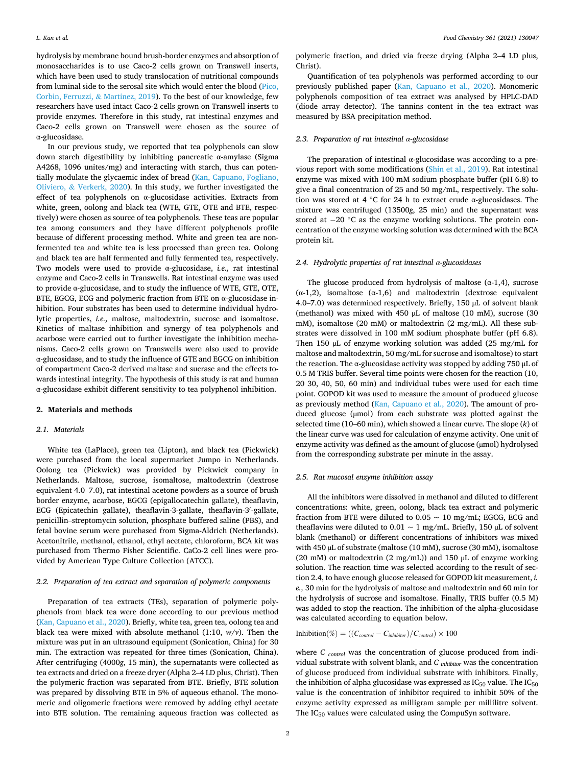hydrolysis by membrane bound brush-border enzymes and absorption of monosaccharides is to use Caco-2 cells grown on Transwell inserts, which have been used to study translocation of nutritional compounds from luminal side to the serosal site which would enter the blood [\(Pico,](#page-7-0)  [Corbin, Ferruzzi,](#page-7-0) & Martinez, 2019). To the best of our knowledge, few researchers have used intact Caco-2 cells grown on Transwell inserts to provide enzymes. Therefore in this study, rat intestinal enzymes and Caco-2 cells grown on Transwell were chosen as the source of α-glucosidase.

In our previous study, we reported that tea polyphenols can slow down starch digestibility by inhibiting pancreatic α-amylase (Sigma A4268, 1096 unites/mg) and interacting with starch, thus can potentially modulate the glycaemic index of bread ([Kan, Capuano, Fogliano,](#page-7-0)  Oliviero, & [Verkerk, 2020\)](#page-7-0). In this study, we further investigated the effect of tea polyphenols on α-glucosidase activities. Extracts from white, green, oolong and black tea (WTE, GTE, OTE and BTE, respectively) were chosen as source of tea polyphenols. These teas are popular tea among consumers and they have different polyphenols profile because of different processing method. White and green tea are nonfermented tea and white tea is less processed than green tea. Oolong and black tea are half fermented and fully fermented tea, respectively. Two models were used to provide α-glucosidase, *i.e.,* rat intestinal enzyme and Caco-2 cells in Transwells. Rat intestinal enzyme was used to provide α-glucosidase, and to study the influence of WTE, GTE, OTE, BTE, EGCG, ECG and polymeric fraction from BTE on  $\alpha$ -glucosidase inhibition. Four substrates has been used to determine individual hydrolytic properties, *i.e.,* maltose, maltodextrin, sucrose and isomaltose. Kinetics of maltase inhibition and synergy of tea polyphenols and acarbose were carried out to further investigate the inhibition mechanisms. Caco-2 cells grown on Transwells were also used to provide α-glucosidase, and to study the influence of GTE and EGCG on inhibition of compartment Caco-2 derived maltase and sucrase and the effects towards intestinal integrity. The hypothesis of this study is rat and human α-glucosidase exhibit different sensitivity to tea polyphenol inhibition.

#### **2. Materials and methods**

## *2.1. Materials*

White tea (LaPlace), green tea (Lipton), and black tea (Pickwick) were purchased from the local supermarket Jumpo in Netherlands. Oolong tea (Pickwick) was provided by Pickwick company in Netherlands. Maltose, sucrose, isomaltose, maltodextrin (dextrose equivalent 4.0–7.0), rat intestinal acetone powders as a source of brush border enzyme, acarbose, EGCG (epigallocatechin gallate), theaflavin, ECG (Epicatechin gallate), theaflavin-3-gallate, theaflavin-3′ -gallate, penicillin–streptomycin solution, phosphate buffered saline (PBS), and fetal bovine serum were purchased from Sigma-Aldrich (Netherlands). Acetonitrile, methanol, ethanol, ethyl acetate, chloroform, BCA kit was purchased from Thermo Fisher Scientific. CaCo-2 cell lines were provided by American Type Culture Collection (ATCC).

## *2.2. Preparation of tea extract and separation of polymeric components*

Preparation of tea extracts (TEs), separation of polymeric polyphenols from black tea were done according to our previous method ([Kan, Capuano et al., 2020](#page-7-0)). Briefly, white tea, green tea, oolong tea and black tea were mixed with absolute methanol (1:10, *w/v*). Then the mixture was put in an ultrasound equipment (Sonication, China) for 30 min. The extraction was repeated for three times (Sonication, China). After centrifuging (4000*g*, 15 min), the supernatants were collected as tea extracts and dried on a freeze dryer (Alpha 2–4 LD plus, Christ). Then the polymeric fraction was separated from BTE. Briefly, BTE solution was prepared by dissolving BTE in 5% of aqueous ethanol. The monomeric and oligomeric fractions were removed by adding ethyl acetate into BTE solution. The remaining aqueous fraction was collected as

polymeric fraction, and dried via freeze drying (Alpha 2–4 LD plus, Christ).

Quantification of tea polyphenols was performed according to our previously published paper ([Kan, Capuano et al., 2020\)](#page-7-0). Monomeric polyphenols composition of tea extract was analysed by HPLC-DAD (diode array detector). The tannins content in the tea extract was measured by BSA precipitation method.

### *2.3. Preparation of rat intestinal α-glucosidase*

The preparation of intestinal α-glucosidase was according to a previous report with some modifications [\(Shin et al., 2019\)](#page-7-0). Rat intestinal enzyme was mixed with 100 mM sodium phosphate buffer (pH 6.8) to give a final concentration of 25 and 50 mg/mL, respectively. The solution was stored at 4  $°C$  for 24 h to extract crude  $\alpha$ -glucosidases. The mixture was centrifuged (13500*g*, 25 min) and the supernatant was stored at −20 °C as the enzyme working solutions. The protein concentration of the enzyme working solution was determined with the BCA protein kit.

### *2.4. Hydrolytic properties of rat intestinal α-glucosidases*

The glucose produced from hydrolysis of maltose  $(\alpha-1,4)$ , sucrose (α-1,2), isomaltose (α-1,6) and maltodextrin (dextrose equivalent 4.0–7.0) was determined respectively. Briefly, 150 µL of solvent blank (methanol) was mixed with 450 µL of maltose (10 mM), sucrose (30 mM), isomaltose (20 mM) or maltodextrin (2 mg/mL). All these substrates were dissolved in 100 mM sodium phosphate buffer (pH 6.8). Then 150 µL of enzyme working solution was added (25 mg/mL for maltose and maltodextrin, 50 mg/mL for sucrose and isomaltose) to start the reaction. The α-glucosidase activity was stopped by adding 750 μL of 0.5 M TRIS buffer. Several time points were chosen for the reaction (10, 20 30, 40, 50, 60 min) and individual tubes were used for each time point. GOPOD kit was used to measure the amount of produced glucose as previously method [\(Kan, Capuano et al., 2020\)](#page-7-0). The amount of produced glucose (µmol) from each substrate was plotted against the selected time (10–60 min), which showed a linear curve. The slope (*k*) of the linear curve was used for calculation of enzyme activity. One unit of enzyme activity was defined as the amount of glucose (µmol) hydrolysed from the corresponding substrate per minute in the assay.

## *2.5. Rat mucosal enzyme inhibition assay*

All the inhibitors were dissolved in methanol and diluted to different concentrations: white, green, oolong, black tea extract and polymeric fraction from BTE were diluted to  $0.05 \sim 10$  mg/mL; EGCG, ECG and theaflavins were diluted to 0.01  $\sim$  1 mg/mL. Briefly, 150 µL of solvent blank (methanol) or different concentrations of inhibitors was mixed with 450 µL of substrate (maltose (10 mM), sucrose (30 mM), isomaltose (20 mM) or maltodextrin (2 mg/mL)) and 150 µL of enzyme working solution. The reaction time was selected according to the result of section 2.4, to have enough glucose released for GOPOD kit measurement, *i. e.,* 30 min for the hydrolysis of maltose and maltodextrin and 60 min for the hydrolysis of sucrose and isomaltose. Finally, TRIS buffer (0.5 M) was added to stop the reaction. The inhibition of the alpha-glucosidase was calculated according to equation below.

$$
Inhibition(\%) = ((C_{control} - C_{inhibition})/C_{control}) \times 100
$$

where *C* control was the concentration of glucose produced from individual substrate with solvent blank, and *C inhibitor* was the concentration of glucose produced from individual substrate with inhibitors. Finally, the inhibition of alpha glucosidase was expressed as  $IC_{50}$  value. The  $IC_{50}$ value is the concentration of inhibitor required to inhibit 50% of the enzyme activity expressed as milligram sample per millilitre solvent. The IC<sub>50</sub> values were calculated using the CompuSyn software.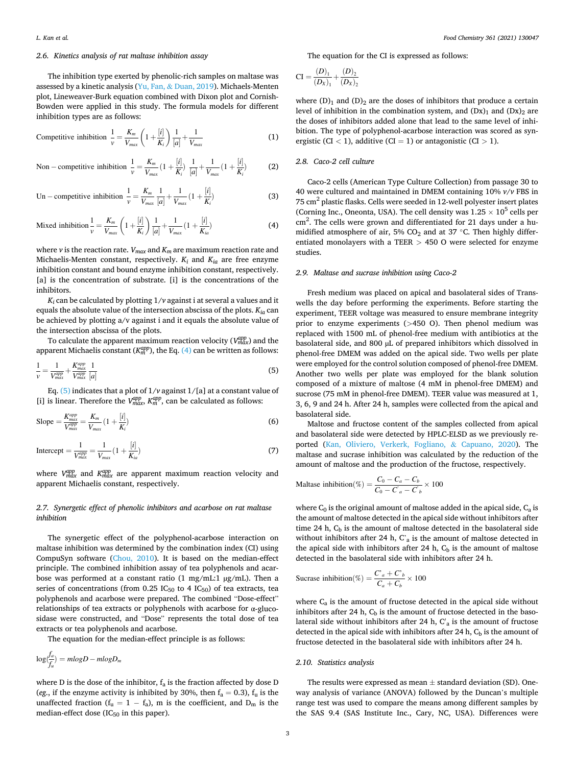## *2.6. Kinetics analysis of rat maltase inhibition assay*

The inhibition type exerted by phenolic-rich samples on maltase was assessed by a kinetic analysis (Yu, Fan, & [Duan, 2019](#page-7-0)). Michaels-Menten plot, Lineweaver-Burk equation combined with Dixon plot and Cornish-Bowden were applied in this study. The formula models for different inhibition types are as follows:

$$
\text{Compute inhibition } \frac{1}{\nu} = \frac{K_m}{V_{max}} \left( 1 + \frac{[i]}{K_i} \right) \frac{1}{[a]} + \frac{1}{V_{max}} \tag{1}
$$

Non–competitive inhibition 
$$
\frac{1}{v} = \frac{K_m}{V_{max}} (1 + \frac{[i]}{K_i}) \frac{1}{[a]} + \frac{1}{V_{max}} (1 + \frac{[i]}{K_i})
$$
 (2)

Un – competitive inhibition 
$$
\frac{1}{v} = \frac{K_m}{V_{max}} \frac{1}{[a]} + \frac{1}{V_{max}} (1 + \frac{[i]}{K_i})
$$
 (3)

Mixed inhibition 
$$
\frac{1}{v} = \frac{K_m}{V_{max}} \left( 1 + \frac{[i]}{K_i} \right) \frac{1}{[a]} + \frac{1}{V_{max}} (1 + \frac{[i]}{K_{ia}})
$$
 (4)

where  $\nu$  is the reaction rate.  $V_{max}$  and  $K_m$  are maximum reaction rate and Michaelis-Menten constant, respectively.  $K_i$  and  $K_{ia}$  are free enzyme inhibition constant and bound enzyme inhibition constant, respectively. [a] is the concentration of substrate. [i] is the concentrations of the inhibitors.

 $K_i$  can be calculated by plotting  $1/v$  against i at several a values and it equals the absolute value of the intersection abscissa of the plots. *Kia* can be achieved by plotting a/v against i and it equals the absolute value of the intersection abscissa of the plots.

To calculate the apparent maximum reaction velocity (V $_{max}^{app}$ ) and the apparent Michaelis constant ( $K_{m}^{app}$ ), the Eq. (4) can be written as follows:

$$
\frac{1}{v} = \frac{1}{V_{max}^{app}} + \frac{K_{max}^{app}}{V_{max}^{app}} \frac{1}{[a]}
$$
(5)

Eq.  $(5)$  indicates that a plot of  $1/v$  against  $1/[a]$  at a constant value of [i] is linear. Therefore the  $V_{max}^{app}$ ,  $K_m^{app}$ , can be calculated as follows:

Slope = 
$$
\frac{K_{max}^{app}}{V_{max}^{app}} = \frac{K_m}{V_{max}} (1 + \frac{[i]}{K_i})
$$
 (6)

$$
Intercept = \frac{1}{V_{max}^{app}} = \frac{1}{V_{max}} \left( 1 + \frac{[i]}{K_{ia}} \right)
$$
\n(7)

where  $V_{max}^{app}$  and  $K_{max}^{app}$  are apparent maximum reaction velocity and apparent Michaelis constant, respectively.

## *2.7. Synergetic effect of phenolic inhibitors and acarbose on rat maltase inhibition*

The synergetic effect of the polyphenol-acarbose interaction on maltase inhibition was determined by the combination index (CI) using CompuSyn software ([Chou, 2010\)](#page-7-0). It is based on the median-effect principle. The combined inhibition assay of tea polyphenols and acarbose was performed at a constant ratio (1 mg/mL:1 µg/mL). Then a series of concentrations (from  $0.25 \text{ IC}_{50}$  to 4  $\text{IC}_{50}$ ) of tea extracts, tea polyphenols and acarbose were prepared. The combined "Dose-effect" relationships of tea extracts or polyphenols with acarbose for α-glucosidase were constructed, and "Dose" represents the total dose of tea extracts or tea polyphenols and acarbose.

The equation for the median-effect principle is as follows:

$$
\log(\frac{f_a}{f_u}) = mlogD - mlogD_m
$$

where D is the dose of the inhibitor,  $f_a$  is the fraction affected by dose D (*eg.*, if the enzyme activity is inhibited by 30%, then  $f_a = 0.3$ ),  $f_u$  is the unaffected fraction ( $f_u = 1 - f_a$ ), m is the coefficient, and  $D_m$  is the median-effect dose  $(IC_{50}$  in this paper).

The equation for the CI is expressed as follows:

$$
CI = \frac{(D)_{1}}{(D_{X})_{1}} + \frac{(D)_{2}}{(D_{X})_{2}}
$$

where  $(D)_1$  and  $(D)_2$  are the doses of inhibitors that produce a certain level of inhibition in the combination system, and  $(Dx)_1$  and  $(Dx)_2$  are the doses of inhibitors added alone that lead to the same level of inhibition. The type of polyphenol-acarbose interaction was scored as synergistic (CI  $<$  1), additive (CI  $=$  1) or antagonistic (CI  $>$  1).

## *2.8. Caco-2 cell culture*

Caco-2 cells (American Type Culture Collection) from passage 30 to 40 were cultured and maintained in DMEM containing 10% *v/v* FBS in 75 cm<sup>2</sup> plastic flasks. Cells were seeded in 12-well polyester insert plates (Corning Inc., Oneonta, USA). The cell density was  $1.25 \times 10^5$  cells per cm2 . The cells were grown and differentiated for 21 days under a humidified atmosphere of air, 5%  $CO<sub>2</sub>$  and at 37 °C. Then highly differentiated monolayers with a TEER *>* 450 O were selected for enzyme studies.

#### *2.9. Maltase and sucrase inhibition using Caco-2*

Fresh medium was placed on apical and basolateral sides of Transwells the day before performing the experiments. Before starting the experiment, TEER voltage was measured to ensure membrane integrity prior to enzyme experiments (*>*450 O). Then phenol medium was replaced with 1500 mL of phenol-free medium with antibiotics at the basolateral side, and 800 µL of prepared inhibitors which dissolved in phenol-free DMEM was added on the apical side. Two wells per plate were employed for the control solution composed of phenol-free DMEM. Another two wells per plate was employed for the blank solution composed of a mixture of maltose (4 mM in phenol-free DMEM) and sucrose (75 mM in phenol-free DMEM). TEER value was measured at 1, 3, 6, 9 and 24 h. After 24 h, samples were collected from the apical and basolateral side.

Maltose and fructose content of the samples collected from apical and basolateral side were detected by HPLC-ELSD as we previously reported ([Kan, Oliviero, Verkerk, Fogliano,](#page-7-0) & Capuano, 2020). The maltase and sucrase inhibition was calculated by the reduction of the amount of maltose and the production of the fructose, respectively.

Maltase inhibition(
$$
\%
$$
) =  $\frac{C_0 - C_a - C_b}{C_0 - C_a - C_b} \times 100$ 

where  $C_0$  is the original amount of maltose added in the apical side,  $C_a$  is the amount of maltose detected in the apical side without inhibitors after time 24 h,  $C_b$  is the amount of maltose detected in the basolateral side without inhibitors after 24 h, C'a is the amount of maltose detected in the apical side with inhibitors after 24 h,  $C<sub>b</sub>$  is the amount of maltose detected in the basolateral side with inhibitors after 24 h.

$$
\text{Sucrase inhibition}(\%) = \frac{C_a + C_b}{C_a + C_b} \times 100
$$

where  $C_a$  is the amount of fructose detected in the apical side without inhibitors after 24 h,  $C_b$  is the amount of fructose detected in the basolateral side without inhibitors after 24 h,  $C'_{a}$  is the amount of fructose detected in the apical side with inhibitors after 24 h,  $C<sub>b</sub>$  is the amount of fructose detected in the basolateral side with inhibitors after 24 h.

#### *2.10. Statistics analysis*

The results were expressed as mean  $\pm$  standard deviation (SD). Oneway analysis of variance (ANOVA) followed by the Duncan's multiple range test was used to compare the means among different samples by the SAS 9.4 (SAS Institute Inc., Cary, NC, USA). Differences were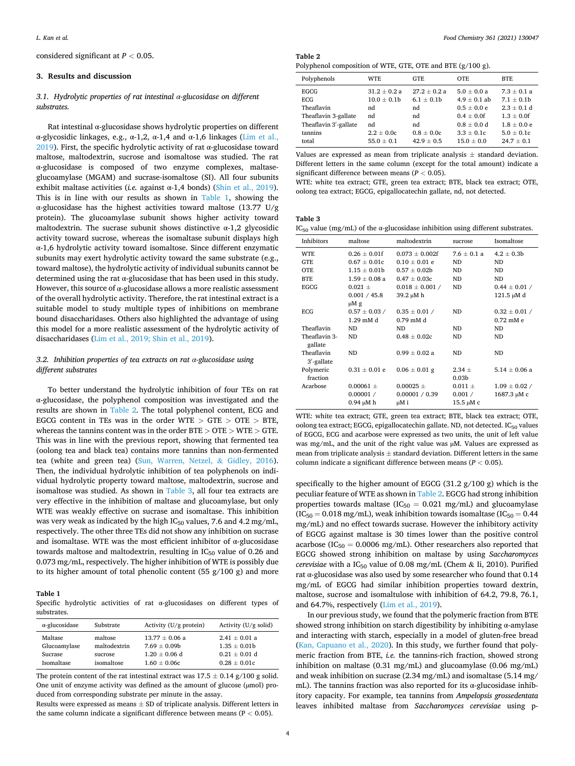<span id="page-3-0"></span>considered significant at *P <* 0.05.

## **3. Results and discussion**

## *3.1. Hydrolytic properties of rat intestinal α-glucosidase on different substrates.*

Rat intestinal α-glucosidase shows hydrolytic properties on different α-glycosidic linkages, e.g., α-1,2, α-1,4 and α-1,6 linkages ([Lim et al.,](#page-7-0)  [2019\)](#page-7-0). First, the specific hydrolytic activity of rat  $\alpha$ -glucosidase toward maltose, maltodextrin, sucrose and isomaltose was studied. The rat α-glucosidase is composed of two enzyme complexes, maltaseglucoamylase (MGAM) and sucrase-isomaltose (SI). All four subunits exhibit maltase activities (*i.e.* against α-1,4 bonds) ([Shin et al., 2019](#page-7-0)). This is in line with our results as shown in Table 1, showing the α-glucosidase has the highest activities toward maltose (13.77 U/g protein). The glucoamylase subunit shows higher activity toward maltodextrin. The sucrase subunit shows distinctive  $\alpha$ -1,2 glycosidic activity toward sucrose, whereas the isomaltase subunit displays high α-1,6 hydrolytic activity toward isomaltose. Since different enzymatic subunits may exert hydrolytic activity toward the same substrate (e.g., toward maltose), the hydrolytic activity of individual subunits cannot be determined using the rat  $\alpha$ -glucosidase that has been used in this study. However, this source of  $\alpha$ -glucosidase allows a more realistic assessment of the overall hydrolytic activity. Therefore, the rat intestinal extract is a suitable model to study multiple types of inhibitions on membrane bound disaccharidases. Others also highlighted the advantage of using this model for a more realistic assessment of the hydrolytic activity of disaccharidases ([Lim et al., 2019; Shin et al., 2019](#page-7-0)).

## *3.2. Inhibition properties of tea extracts on rat α-glucosidase using different substrates*

To better understand the hydrolytic inhibition of four TEs on rat α-glucosidase, the polyphenol composition was investigated and the results are shown in Table 2. The total polyphenol content, ECG and EGCG content in TEs was in the order WTE *>* GTE *>* OTE *>* BTE, whereas the tannins content was in the order BTE *>* OTE *>* WTE *>* GTE. This was in line with the previous report, showing that fermented tea (oolong tea and black tea) contains more tannins than non-fermented tea (white and green tea) [\(Sun, Warren, Netzel,](#page-7-0) & Gidley, 2016). Then, the individual hydrolytic inhibition of tea polyphenols on individual hydrolytic property toward maltose, maltodextrin, sucrose and isomaltose was studied. As shown in Table 3, all four tea extracts are very effective in the inhibition of maltase and glucoamylase, but only WTE was weakly effective on sucrase and isomaltase. This inhibition was very weak as indicated by the high  $IC_{50}$  values, 7.6 and 4.2 mg/mL, respectively. The other three TEs did not show any inhibition on sucrase and isomaltase. WTE was the most efficient inhibitor of  $\alpha$ -glucosidase towards maltose and maltodextrin, resulting in  $IC_{50}$  value of 0.26 and 0.073 mg/mL, respectively. The higher inhibition of WTE is possibly due to its higher amount of total phenolic content (55 g/100 g) and more

#### **Table 1**

Specific hydrolytic activities of rat α-glucosidases on different types of substrates.

| $\alpha$ -glucosidase | Substrate    | Activity $(U/g$ protein) | Activity $(U/g \text{ solid})$ |
|-----------------------|--------------|--------------------------|--------------------------------|
| Maltase               | maltose      | $13.77 \pm 0.06$ a       | $2.41 \pm 0.01$ a              |
| Glucoamylase          | maltodextrin | $7.69 + 0.09b$           | $1.35 \pm 0.01b$               |
| Sucrase               | sucrose      | $1.20 \pm 0.06$ d        | $0.21 \pm 0.01$ d              |
| Isomaltase            | isomaltose   | $1.60 + 0.06c$           | $0.28 \pm 0.01c$               |

The protein content of the rat intestinal extract was  $17.5 \pm 0.14$  g/100 g solid. One unit of enzyme activity was defined as the amount of glucose ( $\mu$ mol) produced from corresponding substrate per minute in the assay.

Results were expressed as means  $\pm$  SD of triplicate analysis. Different letters in the same column indicate a significant difference between means (P *<* 0.05).

**Table 2**  Polyphenol composition of WTE, GTE, OTE and BTE (g/100 g).

| Polyphenols           | WTE              | <b>GTE</b>       | OTE.             | <b>BTE</b>      |  |  |  |  |  |
|-----------------------|------------------|------------------|------------------|-----------------|--|--|--|--|--|
| EGCG                  | $31.2 \pm 0.2 a$ | $27.2 \pm 0.2$ a | $5.0 \pm 0.0 a$  | $7.3 \pm 0.1$ a |  |  |  |  |  |
| ECG                   | $10.0 \pm 0.1$   | $6.1 \pm 0.1$    | $4.9 \pm 0.1$ ab | $7.1 \pm 0.1$   |  |  |  |  |  |
| Theaflavin            | nd               | nd               | $0.5 \pm 0.0 e$  | $2.3 \pm 0.1$ d |  |  |  |  |  |
| Theaflavin 3-gallate  | nd               | nd               | $0.4 \pm 0.0$ f  | $1.3 \pm 0.0$ f |  |  |  |  |  |
| Theaflavin 3'-gallate | nd               | nd               | $0.8 \pm 0.0 d$  | $1.8 \pm 0.0 e$ |  |  |  |  |  |
| tannins               | $2.2 \pm 0.0c$   | $0.8 \pm 0.0c$   | $3.3 \pm 0.1c$   | $5.0 \pm 0.1c$  |  |  |  |  |  |
| total                 | $55.0 \pm 0.1$   | $42.9 \pm 0.5$   | $15.0 \pm 0.0$   | $24.7 \pm 0.1$  |  |  |  |  |  |

Values are expressed as mean from triplicate analysis  $\pm$  standard deviation. Different letters in the same column (except for the total amount) indicate a significant difference between means (*P <* 0.05).

WTE: white tea extract; GTE, green tea extract; BTE, black tea extract; OTE, oolong tea extract; EGCG, epigallocatechin gallate, nd, not detected.

#### **Table 3**

IC<sub>50</sub> value (mg/mL) of the  $\alpha$ -glucosidase inhibition using different substrates.

| Inhibitors               | maltose           | maltodextrin        | sucrose           | Isomaltose        |  |
|--------------------------|-------------------|---------------------|-------------------|-------------------|--|
| WTE.                     | $0.26 + 0.01f$    | $0.073 + 0.002f$    | $7.6 + 0.1 a$     | $4.2 \pm 0.3b$    |  |
| <b>GTE</b>               | $0.67 + 0.01c$    | $0.10 + 0.01$ e     | ND.               | ND.               |  |
| OTE                      | $1.15 \pm 0.01b$  | $0.57 \pm 0.02b$    | ND.               | ND                |  |
| <b>BTE</b>               | $1.59 \pm 0.08$ a | $0.47 \pm 0.03c$    | ND                | ND                |  |
| EGCG                     | $0.021 +$         | $0.018 \pm 0.001$ / | <b>ND</b>         | $0.44 \pm 0.01$ / |  |
|                          | 0.001 / 45.8      | 39.2 µM h           |                   | $121.5 \mu M d$   |  |
|                          | μM g              |                     |                   |                   |  |
| ECG                      | $0.57 \pm 0.03 /$ | $0.35 \pm 0.01 /$   | ND                | $0.32 \pm 0.01 /$ |  |
|                          | $1.29$ mM d       | $0.79$ mM d         |                   | $0.72$ mM $e$     |  |
| Theaflavin               | ND.               | ND                  | ND                | ND.               |  |
| Theaflavin 3-<br>gallate | <b>ND</b>         | $0.48 \pm 0.02c$    | ND                | ND                |  |
| Theaflavin<br>3'-gallate | ND                | $0.99 \pm 0.02$ a   | ND.               | ND                |  |
| Polymeric                | $0.31 \pm 0.01$ e | $0.06 \pm 0.01$ g   | $2.34 \pm$        | $5.14 \pm 0.06$ a |  |
| fraction                 |                   |                     | 0.03 <sub>b</sub> |                   |  |
| Acarbose                 | $0.00061 \pm$     | $0.00025 \pm$       | $0.011 \pm$       | $1.09 \pm 0.02$ / |  |
|                          | 0.00001 /         | 0.00001 / 0.39      | 0.001 /           | 1687.3 µM c       |  |
|                          | 0.94 µM h         | µM i                | 15.5 µM c         |                   |  |

WTE: white tea extract; GTE, green tea extract; BTE, black tea extract; OTE, oolong tea extract; EGCG, epigallocatechin gallate. ND, not detected.  $IC_{50}$  values of EGCG, ECG and acarbose were expressed as two units, the unit of left value was mg/mL, and the unit of the right value was µM. Values are expressed as mean from triplicate analysis  $\pm$  standard deviation. Different letters in the same column indicate a significant difference between means (*P <* 0.05).

specifically to the higher amount of EGCG (31.2 g/100 g) which is the peculiar feature of WTE as shown in Table 2. EGCG had strong inhibition properties towards maltase ( $IC_{50} = 0.021$  mg/mL) and glucoamylase  $(IC<sub>50</sub> = 0.018 mg/mL)$ , weak inhibition towards isomaltase  $(IC<sub>50</sub> = 0.44$ mg/mL) and no effect towards sucrase. However the inhibitory activity of EGCG against maltase is 30 times lower than the positive control acarbose ( $IC_{50} = 0.0006$  mg/mL). Other researchers also reported that EGCG showed strong inhibition on maltase by using *Saccharomyces cerevisiae* with a IC<sub>50</sub> value of 0.08 mg/mL (Chem & Ii, 2010). Purified rat α-glucosidase was also used by some researcher who found that 0.14 mg/mL of EGCG had similar inhibition properties toward dextrin, maltose, sucrose and isomaltulose with inhibition of 64.2, 79.8, 76.1, and 64.7%, respectively ([Lim et al., 2019\)](#page-7-0).

In our previous study, we found that the polymeric fraction from BTE showed strong inhibition on starch digestibility by inhibiting  $\alpha$ -amylase and interacting with starch, especially in a model of gluten-free bread ([Kan, Capuano et al., 2020\)](#page-7-0). In this study, we further found that polymeric fraction from BTE, *i.e.* the tannins-rich fraction, showed strong inhibition on maltase (0.31 mg/mL) and glucoamylase (0.06 mg/mL) and weak inhibition on sucrase (2.34 mg/mL) and isomaltase (5.14 mg/ mL). The tannins fraction was also reported for its  $\alpha$ -glucosidase inhibitory capacity. For example, tea tannins from *Ampelopsis grossedentata*  leaves inhibited maltase from *Saccharomyces cerevisiae* using p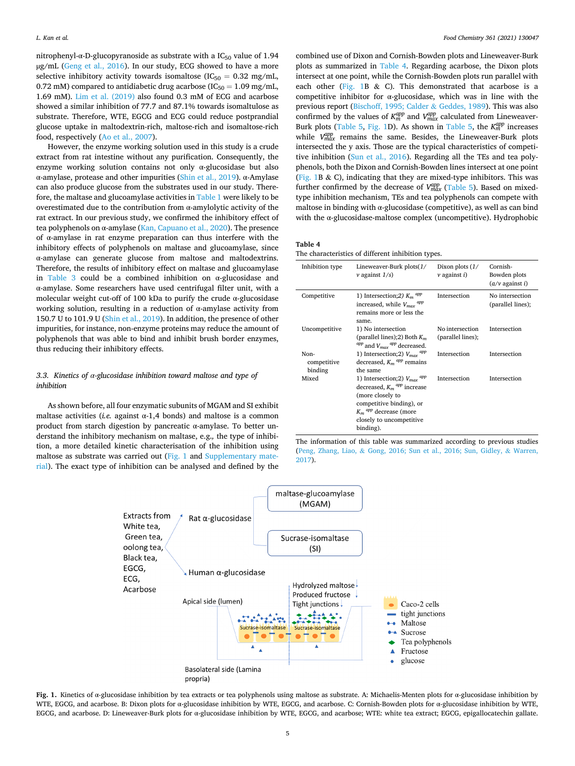nitrophenyl-α-D-glucopyranoside as substrate with a IC<sub>50</sub> value of 1.94 µg/mL ([Geng et al., 2016\)](#page-7-0). In our study, ECG showed to have a more selective inhibitory activity towards isomaltose ( $IC_{50} = 0.32$  mg/mL, 0.72 mM) compared to antidiabetic drug acarbose ( $IC_{50} = 1.09$  mg/mL, 1.69 mM). [Lim et al. \(2019\)](#page-7-0) also found 0.3 mM of ECG and acarbose showed a similar inhibition of 77.7 and 87.1% towards isomaltulose as substrate. Therefore, WTE, EGCG and ECG could reduce postprandial glucose uptake in maltodextrin-rich, maltose-rich and isomaltose-rich food, respectively ([Ao et al., 2007\)](#page-7-0).

However, the enzyme working solution used in this study is a crude extract from rat intestine without any purification. Consequently, the enzyme working solution contains not only α-glucosidase but also α-amylase, protease and other impurities ([Shin et al., 2019](#page-7-0)). α-Amylase can also produce glucose from the substrates used in our study. Therefore, the maltase and glucoamylase activities in [Table 1](#page-3-0) were likely to be overestimated due to the contribution from α-amylolytic activity of the rat extract. In our previous study, we confirmed the inhibitory effect of tea polyphenols on α-amylase ([Kan, Capuano et al., 2020\)](#page-7-0). The presence of α-amylase in rat enzyme preparation can thus interfere with the inhibitory effects of polyphenols on maltase and glucoamylase, since α-amylase can generate glucose from maltose and maltodextrins. Therefore, the results of inhibitory effect on maltase and glucoamylase in [Table 3](#page-3-0) could be a combined inhibition on α-glucosidase and α-amylase. Some researchers have used centrifugal filter unit, with a molecular weight cut-off of 100 kDa to purify the crude α-glucosidase working solution, resulting in a reduction of α-amylase activity from 150.7 U to 101.9 U ([Shin et al., 2019\)](#page-7-0). In addition, the presence of other impurities, for instance, non-enzyme proteins may reduce the amount of polyphenols that was able to bind and inhibit brush border enzymes, thus reducing their inhibitory effects.

# *3.3. Kinetics of α-glucosidase inhibition toward maltose and type of inhibition*

As shown before, all four enzymatic subunits of MGAM and SI exhibit maltase activities (*i.e.* against α-1,4 bonds) and maltose is a common product from starch digestion by pancreatic α-amylase. To better understand the inhibitory mechanism on maltase, e.g.*,* the type of inhibition, a more detailed kinetic characterisation of the inhibition using maltose as substrate was carried out (Fig. 1 and Supplementary material). The exact type of inhibition can be analysed and defined by the

combined use of Dixon and Cornish-Bowden plots and Lineweaver-Burk plots as summarized in Table 4. Regarding acarbose, the Dixon plots intersect at one point, while the Cornish-Bowden plots run parallel with each other (Fig. 1B & C). This demonstrated that acarbose is a competitive inhibitor for α-glucosidase, which was in line with the previous report [\(Bischoff, 1995; Calder](#page-7-0) & Geddes, 1989). This was also confirmed by the values of  $K_m^{app}$  and  $V_{max}^{app}$  calculated from Lineweaver-Burk plots [\(Table 5](#page-5-0), Fig. 1D). As shown in [Table 5](#page-5-0), the  $K_m^{app}$  increases while  $V_{max}^{app}$  remains the same. Besides, the Lineweaver-Burk plots intersected the y axis. Those are the typical characteristics of competitive inhibition ([Sun et al., 2016](#page-7-0)). Regarding all the TEs and tea polyphenols, both the Dixon and Cornish-Bowden lines intersect at one point (Fig. 1B & C), indicating that they are mixed-type inhibitors. This was further confirmed by the decrease of  $V_{max}^{app}$  [\(Table 5](#page-5-0)). Based on mixedtype inhibition mechanism, TEs and tea polyphenols can compete with maltose in binding with α-glucosidase (competitive), as well as can bind with the α-glucosidase-maltose complex (uncompetitive). Hydrophobic

#### **Table 4**

| The characteristics of different inhibition types. |  |  |
|----------------------------------------------------|--|--|
|                                                    |  |  |

| Inhibition type                | Lineweaver-Burk $plots(1/$<br>$\nu$ against $1/s$ )                                                                                                                                                                      | Dixon plots $(1/$<br>$\nu$ against i) | Cornish-<br>Bowden plots<br>$(a/\nu)$ against i) |
|--------------------------------|--------------------------------------------------------------------------------------------------------------------------------------------------------------------------------------------------------------------------|---------------------------------------|--------------------------------------------------|
| Competitive                    | 1) Intersection; 2) $K_m$ <sup>app</sup><br>increased, while $V_{max}$ <sup>app</sup><br>remains more or less the<br>same.                                                                                               | Intersection                          | No intersection<br>(parallel lines);             |
| Uncompetitive                  | 1) No intersection<br>(parallel lines); 2) Both $K_m$<br>$^{app}$ and $V_{max}$ $^{app}$ decreased.                                                                                                                      | No intersection<br>(parallel lines);  | Intersection                                     |
| Non-<br>competitive<br>binding | 1) Intersection; 2) $V_{max}$ <sup>app</sup><br>decreased, $K_m$ <sup>app</sup> remains<br>the same                                                                                                                      | Intersection                          | Intersection                                     |
| Mixed                          | 1) Intersection; 2) $V_{max}$ <sup>app</sup><br>decreased, $K_m$ <sup>app</sup> increase<br>(more closely to<br>competitive binding), or<br>$K_m$ <sup>app</sup> decrease (more<br>closely to uncompetitive<br>binding). | Intersection                          | Intersection                                     |





**Fig. 1.** Kinetics of α-glucosidase inhibition by tea extracts or tea polyphenols using maltose as substrate. A: Michaelis-Menten plots for α-glucosidase inhibition by WTE, EGCG, and acarbose. B: Dixon plots for α-glucosidase inhibition by WTE, EGCG, and acarbose. C: Cornish-Bowden plots for α-glucosidase inhibition by WTE, EGCG, and acarbose. D: Lineweaver-Burk plots for α-glucosidase inhibition by WTE, EGCG, and acarbose; WTE: white tea extract; EGCG, epigallocatechin gallate.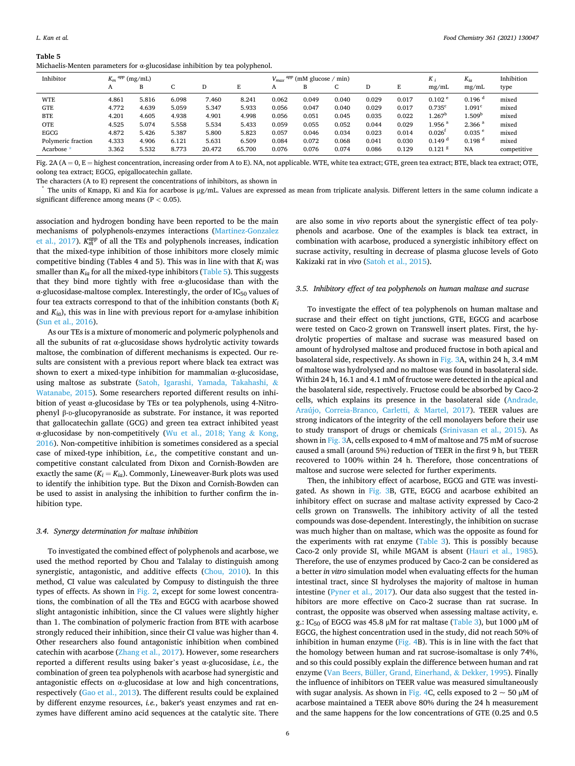<span id="page-5-0"></span>

| Michaelis-Menten parameters for α-glucosidase inhibition by tea polyphenol. |  |  |  |  |  |
|-----------------------------------------------------------------------------|--|--|--|--|--|
|-----------------------------------------------------------------------------|--|--|--|--|--|

| Inhibitor          | $K_m$ <sup>app</sup> (mg/mL) |       |       |        |        | $V_{max}$ | $(mM)$ glucose / min) |       |       |       | $K_i$                | $K_{i\sigma}$        | Inhibition  |
|--------------------|------------------------------|-------|-------|--------|--------|-----------|-----------------------|-------|-------|-------|----------------------|----------------------|-------------|
|                    | A                            | B     |       |        |        | A         | в                     |       |       | E     | mg/mL                | mg/mL                | type        |
| <b>WTE</b>         | 4.861                        | 5.816 | 6.098 | 7.460  | 8.241  | 0.062     | 0.049                 | 0.040 | 0.029 | 0.017 | 0.102 <sup>e</sup>   | $0.196$ <sup>d</sup> | mixed       |
| <b>GTE</b>         | 4.772                        | 4.639 | 5.059 | 5.347  | 5.933  | 0.056     | 0.047                 | 0.040 | 0.029 | 0.017 | $0.735^{c}$          | $1.091^{\circ}$      | mixed       |
| <b>BTE</b>         | 4.201                        | 4.605 | 4.938 | 4.901  | 4.998  | 0.056     | 0.051                 | 0.045 | 0.035 | 0.022 | $1.267^{\rm b}$      | $1.509^{\rm b}$      | mixed       |
| <b>OTE</b>         | 4.525                        | 5.074 | 5.558 | 5.534  | 5.433  | 0.059     | 0.055                 | 0.052 | 0.044 | 0.029 | $1.956$ <sup>a</sup> | 2.366 <sup>a</sup>   | mixed       |
| EGCG               | 4.872                        | 5.426 | 5.387 | 5.800  | 5.823  | 0.057     | 0.046                 | 0.034 | 0.023 | 0.014 | 0.026 <sup>t</sup>   | $0.035$ <sup>e</sup> | mixed       |
| Polymeric fraction | 4.333                        | 4.906 | 6.121 | 5.631  | 6.509  | 0.084     | 0.072                 | 0.068 | 0.041 | 0.030 | 0.149 <sup>d</sup>   | 0.198 <sup>d</sup>   | mixed       |
| Acarbose *         | 3.362                        | 5.532 | 8.773 | 20.472 | 65.700 | 0.076     | 0.076                 | 0.074 | 0.086 | 0.129 | $0.121$ $8$          | <b>NA</b>            | competitive |

Fig. 2A ( $A = 0$ ,  $E =$  highest concentration, increasing order from A to E). NA, not applicable. WTE, white tea extract; GTE, green tea extract; BTE, black tea extract; OTE, oolong tea extract; EGCG, epigallocatechin gallate.

The characters (A to E) represent the concentrations of inhibitors, as shown in<br>
\* The units of Kmapp, Ki and Kia for acarbose is  $\mu$ g/mL. Values are expressed as mean from triplicate analysis. Different letters in the s significant difference among means (P *<* 0.05).

association and hydrogen bonding have been reported to be the main mechanisms of polyphenols-enzymes interactions ([Martinez-Gonzalez](#page-7-0)  [et al., 2017\)](#page-7-0).  $K_m^{app}$  of all the TEs and polyphenols increases, indication that the mixed-type inhibition of those inhibitors more closely mimic competitive binding (Tables 4 and 5). This was in line with that  $K_i$  was smaller than  $K_{ia}$  for all the mixed-type inhibitors (Table 5). This suggests that they bind more tightly with free α-glucosidase than with the  $\alpha$ -glucosidase-maltose complex. Interestingly, the order of IC<sub>50</sub> values of four tea extracts correspond to that of the inhibition constants (both  $K_i$ and  $K_{ia}$ ), this was in line with previous report for  $\alpha$ -amylase inhibition ([Sun et al., 2016](#page-7-0)).

As our TEs is a mixture of monomeric and polymeric polyphenols and all the subunits of rat α-glucosidase shows hydrolytic activity towards maltose, the combination of different mechanisms is expected. Our results are consistent with a previous report where black tea extract was shown to exert a mixed-type inhibition for mammalian α-glucosidase, using maltose as substrate [\(Satoh, Igarashi, Yamada, Takahashi,](#page-7-0) & [Watanabe, 2015\)](#page-7-0). Some researchers reported different results on inhibition of yeast α-glucosidase by TEs or tea polyphenols, using 4-Nitrophenyl β-D-glucopyranoside as substrate. For instance, it was reported that gallocatechin gallate (GCG) and green tea extract inhibited yeast α-glucosidase by non-competitively ([Wu et al., 2018; Yang](#page-7-0) & Kong, [2016\)](#page-7-0). Non-competitive inhibition is sometimes considered as a special case of mixed-type inhibition, *i.e.,* the competitive constant and uncompetitive constant calculated from Dixon and Cornish-Bowden are exactly the same  $(K_i = K_{ia})$ . Commonly, Lineweaver-Burk plots was used to identify the inhibition type. But the Dixon and Cornish-Bowden can be used to assist in analysing the inhibition to further confirm the inhibition type.

#### *3.4. Synergy determination for maltase inhibition*

To investigated the combined effect of polyphenols and acarbose, we used the method reported by Chou and Talalay to distinguish among synergistic, antagonistic, and additive effects ([Chou, 2010\)](#page-7-0). In this method, CI value was calculated by Compusy to distinguish the three types of effects. As shown in Fig. 2, except for some lowest concentrations, the combination of all the TEs and EGCG with acarbose showed slight antagonistic inhibition, since the CI values were slightly higher than 1. The combination of polymeric fraction from BTE with acarbose strongly reduced their inhibition, since their CI value was higher than 4. Other researchers also found antagonistic inhibition when combined catechin with acarbose ([Zhang et al., 2017\)](#page-7-0). However, some researchers reported a different results using baker's yeast α-glucosidase, *i.e.,* the combination of green tea polyphenols with acarbose had synergistic and antagonistic effects on α-glucosidase at low and high concentrations, respectively [\(Gao et al., 2013](#page-7-0)). The different results could be explained by different enzyme resources, *i.e.*, baker׳s yeast enzymes and rat enzymes have different amino acid sequences at the catalytic site. There are also some in *vivo* reports about the synergistic effect of tea polyphenols and acarbose. One of the examples is black tea extract, in combination with acarbose, produced a synergistic inhibitory effect on sucrase activity, resulting in decrease of plasma glucose levels of Goto Kakizaki rat in *vivo* ([Satoh et al., 2015](#page-7-0)).

### *3.5. Inhibitory effect of tea polyphenols on human maltase and sucrase*

To investigate the effect of tea polyphenols on human maltase and sucrase and their effect on tight junctions, GTE, EGCG and acarbose were tested on Caco-2 grown on Transwell insert plates. First, the hydrolytic properties of maltase and sucrase was measured based on amount of hydrolysed maltose and produced fructose in both apical and basolateral side, respectively. As shown in Fig. 3A, within 24 h, 3.4 mM of maltose was hydrolysed and no maltose was found in basolateral side. Within 24 h, 16.1 and 4.1 mM of fructose were detected in the apical and the basolateral side, respectively. Fructose could be absorbed by Caco-2 cells, which explains its presence in the basolateral side [\(Andrade,](#page-7-0)  [Araújo, Correia-Branco, Carletti,](#page-7-0) & Martel, 2017). TEER values are strong indicators of the integrity of the cell monolayers before their use to study transport of drugs or chemicals ([Srinivasan et al., 2015\)](#page-7-0). As shown in Fig. 3A, cells exposed to 4 mM of maltose and 75 mM of sucrose caused a small (around 5%) reduction of TEER in the first 9 h, but TEER recovered to 100% within 24 h. Therefore, those concentrations of maltose and sucrose were selected for further experiments.

Then, the inhibitory effect of acarbose, EGCG and GTE was investigated. As shown in Fig. 3B, GTE, EGCG and acarbose exhibited an inhibitory effect on sucrase and maltase activity expressed by Caco-2 cells grown on Transwells. The inhibitory activity of all the tested compounds was dose-dependent. Interestingly, the inhibition on sucrase was much higher than on maltase, which was the opposite as found for the experiments with rat enzyme [\(Table 3\)](#page-3-0). This is possibly because Caco-2 only provide SI, while MGAM is absent [\(Hauri et al., 1985](#page-7-0)). Therefore, the use of enzymes produced by Caco-2 can be considered as a better *in vitro* simulation model when evaluating effects for the human intestinal tract, since SI hydrolyses the majority of maltose in human intestine ([Pyner et al., 2017\)](#page-7-0). Our data also suggest that the tested inhibitors are more effective on Caco-2 sucrase than rat sucrase. In contrast, the opposite was observed when assessing maltase activity, e. g.: IC<sub>50</sub> of EGCG was 45.8 μM for rat maltase ([Table 3\)](#page-3-0), but 1000 μM of EGCG, the highest concentration used in the study, did not reach 50% of inhibition in human enzyme (Fig. 4B). This is in line with the fact that the homology between human and rat sucrose-isomaltase is only 74%, and so this could possibly explain the difference between human and rat enzyme ([Van Beers, Büller, Grand, Einerhand,](#page-7-0) & Dekker, 1995). Finally the influence of inhibitors on TEER value was measured simultaneously with sugar analysis. As shown in Fig. 4C, cells exposed to  $2 \sim 50 \mu M$  of acarbose maintained a TEER above 80% during the 24 h measurement and the same happens for the low concentrations of GTE (0.25 and 0.5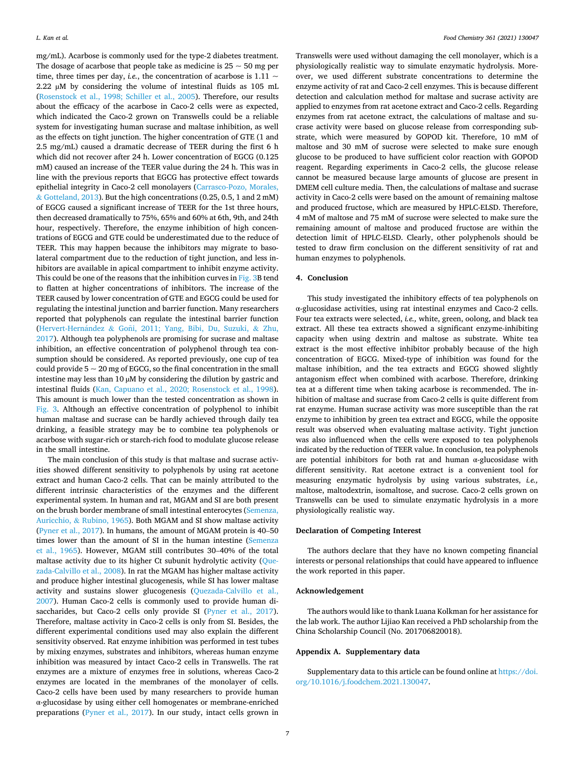mg/mL). Acarbose is commonly used for the type-2 diabetes treatment. The dosage of acarbose that people take as medicine is  $25 \sim 50$  mg per time, three times per day, *i.e.*, the concentration of acarbose is  $1.11 \sim$ 2.22 µM by considering the volume of intestinal fluids as 105 mL ([Rosenstock et al., 1998; Schiller et al., 2005](#page-7-0)). Therefore, our results about the efficacy of the acarbose in Caco-2 cells were as expected, which indicated the Caco-2 grown on Transwells could be a reliable system for investigating human sucrase and maltase inhibition, as well as the effects on tight junction. The higher concentration of GTE (1 and 2.5 mg/mL) caused a dramatic decrease of TEER during the first 6 h which did not recover after 24 h. Lower concentration of EGCG (0.125 mM) caused an increase of the TEER value during the 24 h. This was in line with the previous reports that EGCG has protective effect towards epithelial integrity in Caco-2 cell monolayers ([Carrasco-Pozo, Morales,](#page-7-0)  & [Gotteland, 2013](#page-7-0)). But the high concentrations (0.25, 0.5, 1 and 2 mM) of EGCG caused a significant increase of TEER for the 1st three hours, then decreased dramatically to 75%, 65% and 60% at 6th, 9th, and 24th hour, respectively. Therefore, the enzyme inhibition of high concentrations of EGCG and GTE could be underestimated due to the reduce of TEER. This may happen because the inhibitors may migrate to basolateral compartment due to the reduction of tight junction, and less inhibitors are available in apical compartment to inhibit enzyme activity. This could be one of the reasons that the inhibition curves in Fig. 3B tend to flatten at higher concentrations of inhibitors. The increase of the TEER caused by lower concentration of GTE and EGCG could be used for regulating the intestinal junction and barrier function. Many researchers reported that polyphenols can regulate the intestinal barrier function (Hervert-Hernández & Goñi, [2011; Yang, Bibi, Du, Suzuki,](#page-7-0) & Zhu, [2017\)](#page-7-0). Although tea polyphenols are promising for sucrase and maltase inhibition, an effective concentration of polyphenol through tea consumption should be considered. As reported previously, one cup of tea could provide  $5 \sim 20$  mg of EGCG, so the final concentration in the small intestine may less than 10 µM by considering the dilution by gastric and intestinal fluids [\(Kan, Capuano et al., 2020; Rosenstock et al., 1998](#page-7-0)). This amount is much lower than the tested concentration as shown in Fig. 3. Although an effective concentration of polyphenol to inhibit human maltase and sucrase can be hardly achieved through daily tea drinking, a feasible strategy may be to combine tea polyphenols or acarbose with sugar-rich or starch-rich food to modulate glucose release in the small intestine.

The main conclusion of this study is that maltase and sucrase activities showed different sensitivity to polyphenols by using rat acetone extract and human Caco-2 cells. That can be mainly attributed to the different intrinsic characteristics of the enzymes and the different experimental system. In human and rat, MGAM and SI are both present on the brush border membrane of small intestinal enterocytes [\(Semenza,](#page-7-0)  Auricchio, & [Rubino, 1965](#page-7-0)). Both MGAM and SI show maltase activity ([Pyner et al., 2017](#page-7-0)). In humans, the amount of MGAM protein is 40–50 times lower than the amount of SI in the human intestine ([Semenza](#page-7-0)  [et al., 1965](#page-7-0)). However, MGAM still contributes 30–40% of the total maltase activity due to its higher Ct subunit hydrolytic activity ([Que](#page-7-0)[zada-Calvillo et al., 2008](#page-7-0)). In rat the MGAM has higher maltase activity and produce higher intestinal glucogenesis, while SI has lower maltase activity and sustains slower glucogenesis ([Quezada-Calvillo et al.,](#page-7-0)  [2007\)](#page-7-0). Human Caco-2 cells is commonly used to provide human disaccharides, but Caco-2 cells only provide SI [\(Pyner et al., 2017](#page-7-0)). Therefore, maltase activity in Caco-2 cells is only from SI. Besides, the different experimental conditions used may also explain the different sensitivity observed. Rat enzyme inhibition was performed in test tubes by mixing enzymes, substrates and inhibitors, whereas human enzyme inhibition was measured by intact Caco-2 cells in Transwells. The rat enzymes are a mixture of enzymes free in solutions, whereas Caco-2 enzymes are located in the membranes of the monolayer of cells. Caco-2 cells have been used by many researchers to provide human α-glucosidase by using either cell homogenates or membrane-enriched preparations [\(Pyner et al., 2017](#page-7-0)). In our study, intact cells grown in

Transwells were used without damaging the cell monolayer, which is a physiologically realistic way to simulate enzymatic hydrolysis. Moreover, we used different substrate concentrations to determine the enzyme activity of rat and Caco-2 cell enzymes. This is because different detection and calculation method for maltase and sucrase activity are applied to enzymes from rat acetone extract and Caco-2 cells. Regarding enzymes from rat acetone extract, the calculations of maltase and sucrase activity were based on glucose release from corresponding substrate, which were measured by GOPOD kit. Therefore, 10 mM of maltose and 30 mM of sucrose were selected to make sure enough glucose to be produced to have sufficient color reaction with GOPOD reagent. Regarding experiments in Caco-2 cells, the glucose release cannot be measured because large amounts of glucose are present in DMEM cell culture media. Then, the calculations of maltase and sucrase activity in Caco-2 cells were based on the amount of remaining maltose and produced fructose, which are measured by HPLC-ELSD. Therefore, 4 mM of maltose and 75 mM of sucrose were selected to make sure the remaining amount of maltose and produced fructose are within the detection limit of HPLC-ELSD. Clearly, other polyphenols should be tested to draw firm conclusion on the different sensitivity of rat and human enzymes to polyphenols.

## **4. Conclusion**

This study investigated the inhibitory effects of tea polyphenols on α-glucosidase activities, using rat intestinal enzymes and Caco-2 cells. Four tea extracts were selected, *i.e.,* white, green, oolong, and black tea extract. All these tea extracts showed a significant enzyme-inhibiting capacity when using dextrin and maltose as substrate. White tea extract is the most effective inhibitor probably because of the high concentration of EGCG. Mixed-type of inhibition was found for the maltase inhibition, and the tea extracts and EGCG showed slightly antagonism effect when combined with acarbose. Therefore, drinking tea at a different time when taking acarbose is recommended. The inhibition of maltase and sucrase from Caco-2 cells is quite different from rat enzyme. Human sucrase activity was more susceptible than the rat enzyme to inhibition by green tea extract and EGCG, while the opposite result was observed when evaluating maltase activity. Tight junction was also influenced when the cells were exposed to tea polyphenols indicated by the reduction of TEER value. In conclusion, tea polyphenols are potential inhibitors for both rat and human α-glucosidase with different sensitivity. Rat acetone extract is a convenient tool for measuring enzymatic hydrolysis by using various substrates, *i.e.,*  maltose, maltodextrin, isomaltose, and sucrose. Caco-2 cells grown on Transwells can be used to simulate enzymatic hydrolysis in a more physiologically realistic way.

## **Declaration of Competing Interest**

The authors declare that they have no known competing financial interests or personal relationships that could have appeared to influence the work reported in this paper.

## **Acknowledgement**

The authors would like to thank Luana Kolkman for her assistance for the lab work. The author Lijiao Kan received a PhD scholarship from the China Scholarship Council (No. 201706820018).

## **Appendix A. Supplementary data**

Supplementary data to this article can be found online at [https://doi.](https://doi.org/10.1016/j.foodchem.2021.130047)  [org/10.1016/j.foodchem.2021.130047.](https://doi.org/10.1016/j.foodchem.2021.130047)